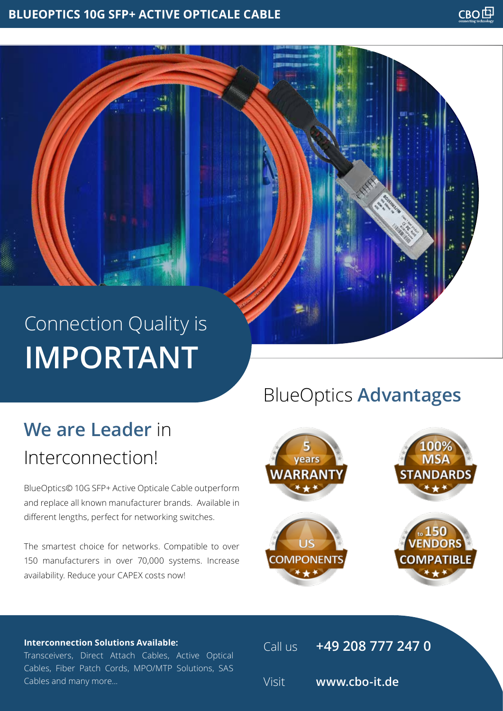# Connection Quality is **IMPORTANT**

# **We are Leader** in Interconnection!

BlueOptics© 10G SFP+ Active Opticale Cable outperform and replace all known manufacturer brands. Available in different lengths, perfect for networking switches.

The smartest choice for networks. Compatible to over 150 manufacturers in over 70,000 systems. Increase availability. Reduce your CAPEX costs now!

## BlueOptics **Advantages**



#### **Interconnection Solutions Available:**

Transceivers, Direct Attach Cables, Active Optical Cables, Fiber Patch Cords, MPO/MTP Solutions, SAS Cables and many more...

Call us **+49 208 777 247 0** Visit **www.cbo-it.de**